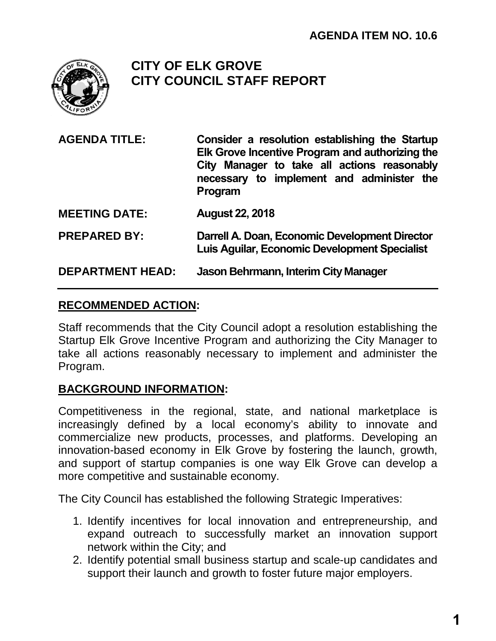

# **CITY OF ELK GROVE CITY COUNCIL STAFF REPORT**

- **AGENDA TITLE: Consider a resolution establishing the Startup Elk Grove Incentive Program and authorizing the City Manager to take all actions reasonably necessary to implement and administer the Program**
- **MEETING DATE: August 22, 2018**

**PREPARED BY: Darrell A. Doan, Economic Development Director Luis Aguilar, Economic Development Specialist**

## **DEPARTMENT HEAD: Jason Behrmann, Interim City Manager**

## **RECOMMENDED ACTION:**

Staff recommends that the City Council adopt a resolution establishing the Startup Elk Grove Incentive Program and authorizing the City Manager to take all actions reasonably necessary to implement and administer the Program.

## **BACKGROUND INFORMATION:**

Competitiveness in the regional, state, and national marketplace is increasingly defined by a local economy's ability to innovate and commercialize new products, processes, and platforms. Developing an innovation-based economy in Elk Grove by fostering the launch, growth, and support of startup companies is one way Elk Grove can develop a more competitive and sustainable economy.

The City Council has established the following Strategic Imperatives:

- 1. Identify incentives for local innovation and entrepreneurship, and expand outreach to successfully market an innovation support network within the City; and
- 2. Identify potential small business startup and scale-up candidates and support their launch and growth to foster future major employers.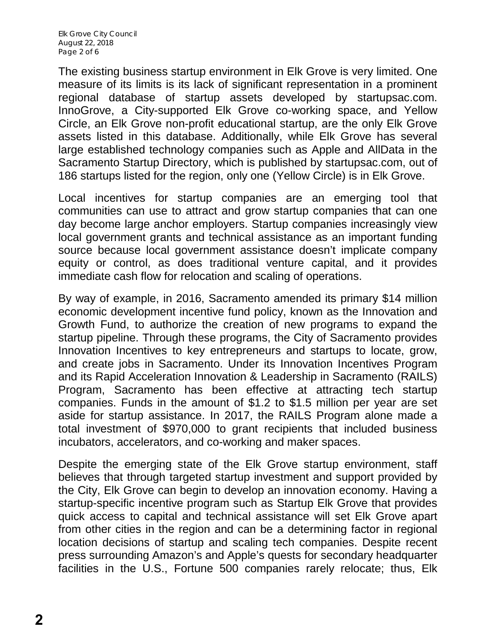The existing business startup environment in Elk Grove is very limited. One measure of its limits is its lack of significant representation in a prominent regional database of startup assets developed by startupsac.com. InnoGrove, a City-supported Elk Grove co-working space, and Yellow Circle, an Elk Grove non-profit educational startup, are the only Elk Grove assets listed in this database. Additionally, while Elk Grove has several large established technology companies such as Apple and AllData in the Sacramento Startup Directory, which is published by startupsac.com, out of 186 startups listed for the region, only one (Yellow Circle) is in Elk Grove.

Local incentives for startup companies are an emerging tool that communities can use to attract and grow startup companies that can one day become large anchor employers. Startup companies increasingly view local government grants and technical assistance as an important funding source because local government assistance doesn't implicate company equity or control, as does traditional venture capital, and it provides immediate cash flow for relocation and scaling of operations.

By way of example, in 2016, Sacramento amended its primary \$14 million economic development incentive fund policy, known as the Innovation and Growth Fund, to authorize the creation of new programs to expand the startup pipeline. Through these programs, the City of Sacramento provides Innovation Incentives to key entrepreneurs and startups to locate, grow, and create jobs in Sacramento. Under its Innovation Incentives Program and its Rapid Acceleration Innovation & Leadership in Sacramento (RAILS) Program, Sacramento has been effective at attracting tech startup companies. Funds in the amount of \$1.2 to \$1.5 million per year are set aside for startup assistance. In 2017, the RAILS Program alone made a total investment of \$970,000 to grant recipients that included business incubators, accelerators, and co-working and maker spaces.

Despite the emerging state of the Elk Grove startup environment, staff believes that through targeted startup investment and support provided by the City, Elk Grove can begin to develop an innovation economy. Having a startup-specific incentive program such as Startup Elk Grove that provides quick access to capital and technical assistance will set Elk Grove apart from other cities in the region and can be a determining factor in regional location decisions of startup and scaling tech companies. Despite recent press surrounding Amazon's and Apple's quests for secondary headquarter facilities in the U.S., Fortune 500 companies rarely relocate; thus, Elk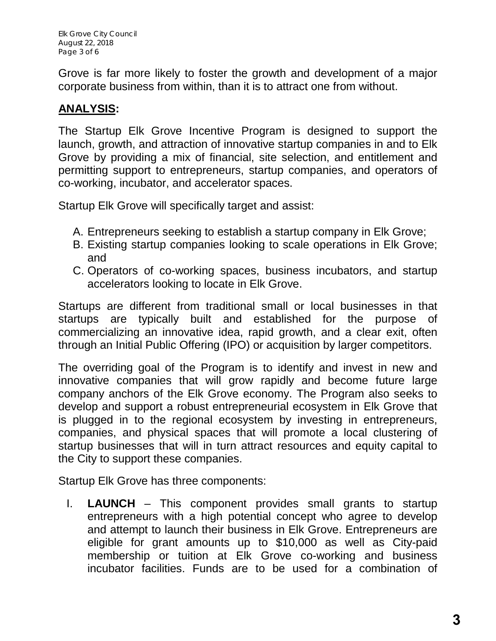Elk Grove City Council August 22, 2018 Page 3 of 6

Grove is far more likely to foster the growth and development of a major corporate business from within, than it is to attract one from without.

# **ANALYSIS:**

The Startup Elk Grove Incentive Program is designed to support the launch, growth, and attraction of innovative startup companies in and to Elk Grove by providing a mix of financial, site selection, and entitlement and permitting support to entrepreneurs, startup companies, and operators of co-working, incubator, and accelerator spaces.

Startup Elk Grove will specifically target and assist:

- A. Entrepreneurs seeking to establish a startup company in Elk Grove;
- B. Existing startup companies looking to scale operations in Elk Grove; and
- C. Operators of co-working spaces, business incubators, and startup accelerators looking to locate in Elk Grove.

Startups are different from traditional small or local businesses in that startups are typically built and established for the purpose of commercializing an innovative idea, rapid growth, and a clear exit, often through an Initial Public Offering (IPO) or acquisition by larger competitors.

The overriding goal of the Program is to identify and invest in new and innovative companies that will grow rapidly and become future large company anchors of the Elk Grove economy. The Program also seeks to develop and support a robust entrepreneurial ecosystem in Elk Grove that is plugged in to the regional ecosystem by investing in entrepreneurs, companies, and physical spaces that will promote a local clustering of startup businesses that will in turn attract resources and equity capital to the City to support these companies.

Startup Elk Grove has three components:

I. **LAUNCH** – This component provides small grants to startup entrepreneurs with a high potential concept who agree to develop and attempt to launch their business in Elk Grove. Entrepreneurs are eligible for grant amounts up to \$10,000 as well as City-paid membership or tuition at Elk Grove co-working and business incubator facilities. Funds are to be used for a combination of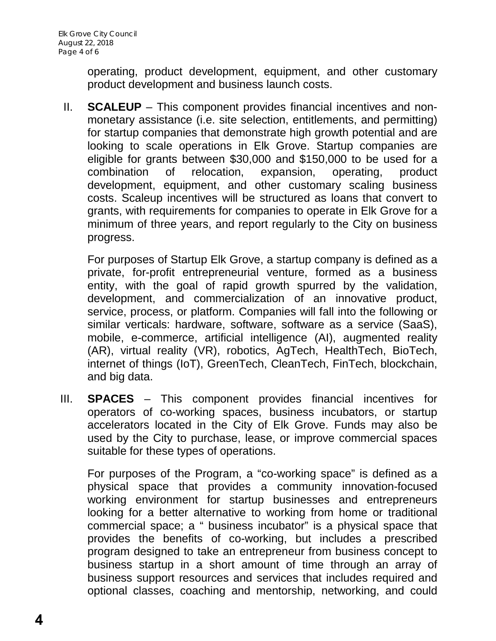operating, product development, equipment, and other customary product development and business launch costs.

II. **SCALEUP** – This component provides financial incentives and nonmonetary assistance (i.e. site selection, entitlements, and permitting) for startup companies that demonstrate high growth potential and are looking to scale operations in Elk Grove. Startup companies are eligible for grants between \$30,000 and \$150,000 to be used for a combination of relocation, expansion, operating, product development, equipment, and other customary scaling business costs. Scaleup incentives will be structured as loans that convert to grants, with requirements for companies to operate in Elk Grove for a minimum of three years, and report regularly to the City on business progress.

For purposes of Startup Elk Grove, a startup company is defined as a private, for-profit entrepreneurial venture, formed as a business entity, with the goal of rapid growth spurred by the validation, development, and commercialization of an innovative product, service, process, or platform. Companies will fall into the following or similar verticals: hardware, software, software as a service (SaaS), mobile, e-commerce, artificial intelligence (AI), augmented reality (AR), virtual reality (VR), robotics, AgTech, HealthTech, BioTech, internet of things (IoT), GreenTech, CleanTech, FinTech, blockchain, and big data.

III. **SPACES** – This component provides financial incentives for operators of co-working spaces, business incubators, or startup accelerators located in the City of Elk Grove. Funds may also be used by the City to purchase, lease, or improve commercial spaces suitable for these types of operations.

For purposes of the Program, a "co-working space" is defined as a physical space that provides a community innovation-focused working environment for startup businesses and entrepreneurs looking for a better alternative to working from home or traditional commercial space; a " business incubator" is a physical space that provides the benefits of co-working, but includes a prescribed program designed to take an entrepreneur from business concept to business startup in a short amount of time through an array of business support resources and services that includes required and optional classes, coaching and mentorship, networking, and could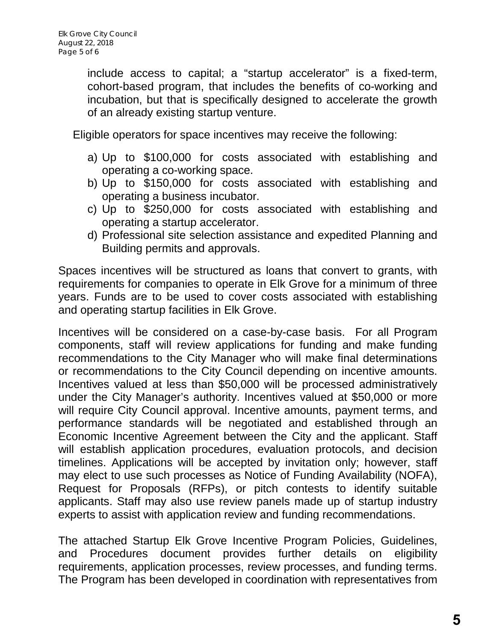include access to capital; a "startup accelerator" is a fixed-term, cohort-based program, that includes the benefits of co-working and incubation, but that is specifically designed to accelerate the growth of an already existing startup venture.

Eligible operators for space incentives may receive the following:

- a) Up to \$100,000 for costs associated with establishing and operating a co-working space.
- b) Up to \$150,000 for costs associated with establishing and operating a business incubator.
- c) Up to \$250,000 for costs associated with establishing and operating a startup accelerator.
- d) Professional site selection assistance and expedited Planning and Building permits and approvals.

Spaces incentives will be structured as loans that convert to grants, with requirements for companies to operate in Elk Grove for a minimum of three years. Funds are to be used to cover costs associated with establishing and operating startup facilities in Elk Grove.

Incentives will be considered on a case-by-case basis. For all Program components, staff will review applications for funding and make funding recommendations to the City Manager who will make final determinations or recommendations to the City Council depending on incentive amounts. Incentives valued at less than \$50,000 will be processed administratively under the City Manager's authority. Incentives valued at \$50,000 or more will require City Council approval. Incentive amounts, payment terms, and performance standards will be negotiated and established through an Economic Incentive Agreement between the City and the applicant. Staff will establish application procedures, evaluation protocols, and decision timelines. Applications will be accepted by invitation only; however, staff may elect to use such processes as Notice of Funding Availability (NOFA), Request for Proposals (RFPs), or pitch contests to identify suitable applicants. Staff may also use review panels made up of startup industry experts to assist with application review and funding recommendations.

The attached Startup Elk Grove Incentive Program Policies, Guidelines, and Procedures document provides further details on eligibility requirements, application processes, review processes, and funding terms. The Program has been developed in coordination with representatives from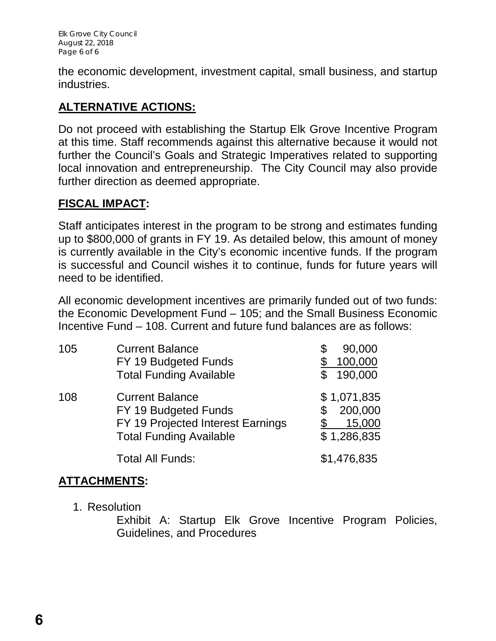the economic development, investment capital, small business, and startup industries.

# **ALTERNATIVE ACTIONS:**

Do not proceed with establishing the Startup Elk Grove Incentive Program at this time. Staff recommends against this alternative because it would not further the Council's Goals and Strategic Imperatives related to supporting local innovation and entrepreneurship. The City Council may also provide further direction as deemed appropriate.

## **FISCAL IMPACT:**

Staff anticipates interest in the program to be strong and estimates funding up to \$800,000 of grants in FY 19. As detailed below, this amount of money is currently available in the City's economic incentive funds. If the program is successful and Council wishes it to continue, funds for future years will need to be identified.

All economic development incentives are primarily funded out of two funds: the Economic Development Fund – 105; and the Small Business Economic Incentive Fund – 108. Current and future fund balances are as follows:

| 105 | <b>Current Balance</b><br>FY 19 Budgeted Funds<br><b>Total Funding Available</b>                                      | 90,000<br>100,000<br>190,000                    |
|-----|-----------------------------------------------------------------------------------------------------------------------|-------------------------------------------------|
| 108 | <b>Current Balance</b><br>FY 19 Budgeted Funds<br>FY 19 Projected Interest Earnings<br><b>Total Funding Available</b> | \$1,071,835<br>200,000<br>15,000<br>\$1,286,835 |
|     | <b>Total All Funds:</b>                                                                                               | \$1,476,835                                     |

## **ATTACHMENTS:**

1. Resolution

Exhibit A: Startup Elk Grove Incentive Program Policies, Guidelines, and Procedures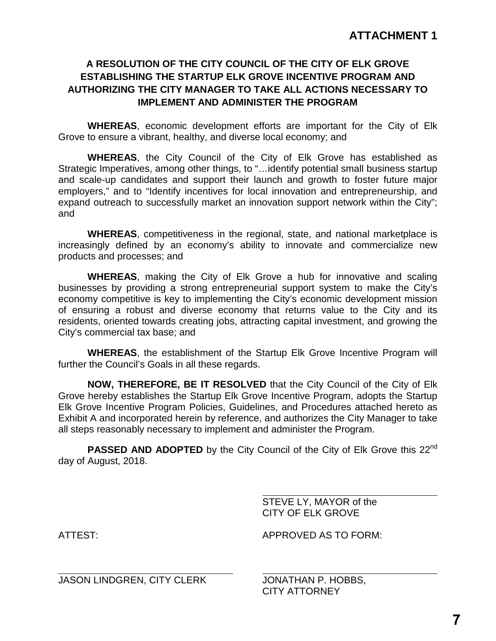### **A RESOLUTION OF THE CITY COUNCIL OF THE CITY OF ELK GROVE ESTABLISHING THE STARTUP ELK GROVE INCENTIVE PROGRAM AND AUTHORIZING THE CITY MANAGER TO TAKE ALL ACTIONS NECESSARY TO IMPLEMENT AND ADMINISTER THE PROGRAM**

**WHEREAS**, economic development efforts are important for the City of Elk Grove to ensure a vibrant, healthy, and diverse local economy; and

**WHEREAS**, the City Council of the City of Elk Grove has established as Strategic Imperatives, among other things, to "…identify potential small business startup and scale-up candidates and support their launch and growth to foster future major employers," and to "Identify incentives for local innovation and entrepreneurship, and expand outreach to successfully market an innovation support network within the City"; and

**WHEREAS**, competitiveness in the regional, state, and national marketplace is increasingly defined by an economy's ability to innovate and commercialize new products and processes; and

**WHEREAS**, making the City of Elk Grove a hub for innovative and scaling businesses by providing a strong entrepreneurial support system to make the City's economy competitive is key to implementing the City's economic development mission of ensuring a robust and diverse economy that returns value to the City and its residents, oriented towards creating jobs, attracting capital investment, and growing the City's commercial tax base; and

**WHEREAS**, the establishment of the Startup Elk Grove Incentive Program will further the Council's Goals in all these regards.

**NOW, THEREFORE, BE IT RESOLVED** that the City Council of the City of Elk Grove hereby establishes the Startup Elk Grove Incentive Program, adopts the Startup Elk Grove Incentive Program Policies, Guidelines, and Procedures attached hereto as Exhibit A and incorporated herein by reference, and authorizes the City Manager to take all steps reasonably necessary to implement and administer the Program.

**PASSED AND ADOPTED** by the City Council of the City of Elk Grove this 22<sup>nd</sup> day of August, 2018.

> STEVE LY, MAYOR of the CITY OF ELK GROVE

 $\overline{a}$ 

JASON LINDGREN, CITY CLERK JONATHAN P. HOBBS,

ATTEST: APPROVED AS TO FORM:

CITY ATTORNEY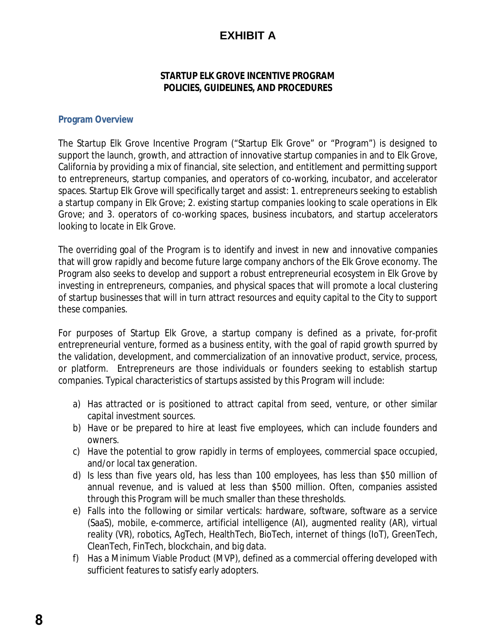# **EXHIBIT A**

### **STARTUP ELK GROVE INCENTIVE PROGRAM POLICIES, GUIDELINES, AND PROCEDURES**

### **Program Overview**

The Startup Elk Grove Incentive Program ("Startup Elk Grove" or "Program") is designed to support the launch, growth, and attraction of innovative startup companies in and to Elk Grove, California by providing a mix of financial, site selection, and entitlement and permitting support to entrepreneurs, startup companies, and operators of co-working, incubator, and accelerator spaces. Startup Elk Grove will specifically target and assist: 1. entrepreneurs seeking to establish a startup company in Elk Grove; 2. existing startup companies looking to scale operations in Elk Grove; and 3. operators of co-working spaces, business incubators, and startup accelerators looking to locate in Elk Grove.

The overriding goal of the Program is to identify and invest in new and innovative companies that will grow rapidly and become future large company anchors of the Elk Grove economy. The Program also seeks to develop and support a robust entrepreneurial ecosystem in Elk Grove by investing in entrepreneurs, companies, and physical spaces that will promote a local clustering of startup businesses that will in turn attract resources and equity capital to the City to support these companies.

For purposes of Startup Elk Grove, a startup company is defined as a private, for-profit entrepreneurial venture, formed as a business entity, with the goal of rapid growth spurred by the validation, development, and commercialization of an innovative product, service, process, or platform. Entrepreneurs are those individuals or founders seeking to establish startup companies. Typical characteristics of startups assisted by this Program will include:

- a) Has attracted or is positioned to attract capital from seed, venture, or other similar capital investment sources.
- b) Have or be prepared to hire at least five employees, which can include founders and owners.
- c) Have the potential to grow rapidly in terms of employees, commercial space occupied, and/or local tax generation.
- d) Is less than five years old, has less than 100 employees, has less than \$50 million of annual revenue, and is valued at less than \$500 million. Often, companies assisted through this Program will be much smaller than these thresholds.
- e) Falls into the following or similar verticals: hardware, software, software as a service (SaaS), mobile, e-commerce, artificial intelligence (AI), augmented reality (AR), virtual reality (VR), robotics, AgTech, HealthTech, BioTech, internet of things (IoT), GreenTech, CleanTech, FinTech, blockchain, and big data.
- f) Has a Minimum Viable Product (MVP), defined as a commercial offering developed with sufficient features to satisfy early adopters.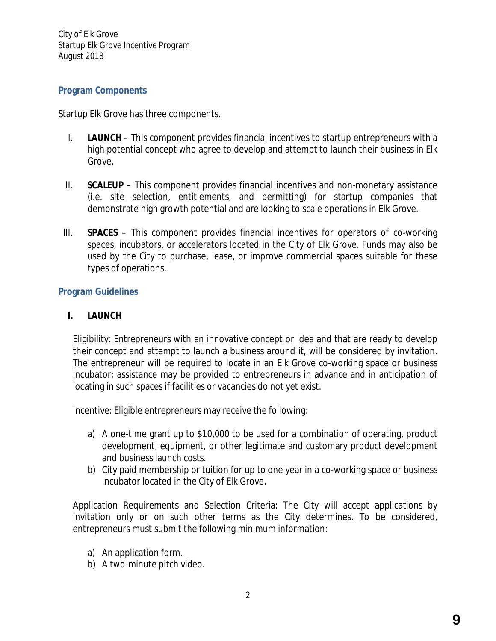City of Elk Grove Startup Elk Grove Incentive Program August 2018

### **Program Components**

Startup Elk Grove has three components.

- I. **LAUNCH** This component provides financial incentives to startup entrepreneurs with a high potential concept who agree to develop and attempt to launch their business in Elk Grove.
- II. **SCALEUP** This component provides financial incentives and non-monetary assistance (i.e. site selection, entitlements, and permitting) for startup companies that demonstrate high growth potential and are looking to scale operations in Elk Grove.
- III. **SPACES** This component provides financial incentives for operators of co-working spaces, incubators, or accelerators located in the City of Elk Grove. Funds may also be used by the City to purchase, lease, or improve commercial spaces suitable for these types of operations.

#### **Program Guidelines**

### **I. LAUNCH**

Eligibility: Entrepreneurs with an innovative concept or idea and that are ready to develop their concept and attempt to launch a business around it, will be considered by invitation. The entrepreneur will be required to locate in an Elk Grove co-working space or business incubator; assistance may be provided to entrepreneurs in advance and in anticipation of locating in such spaces if facilities or vacancies do not yet exist.

Incentive: Eligible entrepreneurs may receive the following:

- a) A one-time grant up to \$10,000 to be used for a combination of operating, product development, equipment, or other legitimate and customary product development and business launch costs.
- b) City paid membership or tuition for up to one year in a co-working space or business incubator located in the City of Elk Grove.

Application Requirements and Selection Criteria: The City will accept applications by invitation only or on such other terms as the City determines. To be considered, entrepreneurs must submit the following minimum information:

- a) An application form.
- b) A two-minute pitch video.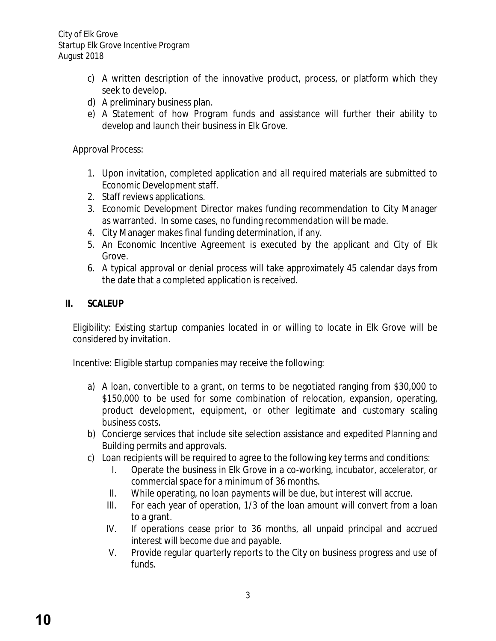City of Elk Grove Startup Elk Grove Incentive Program August 2018

- c) A written description of the innovative product, process, or platform which they seek to develop.
- d) A preliminary business plan.
- e) A Statement of how Program funds and assistance will further their ability to develop and launch their business in Elk Grove.

Approval Process:

- 1. Upon invitation, completed application and all required materials are submitted to Economic Development staff.
- 2. Staff reviews applications.
- 3. Economic Development Director makes funding recommendation to City Manager as warranted. In some cases, no funding recommendation will be made.
- 4. City Manager makes final funding determination, if any.
- 5. An Economic Incentive Agreement is executed by the applicant and City of Elk Grove.
- 6. A typical approval or denial process will take approximately 45 calendar days from the date that a completed application is received.

### **II. SCALEUP**

Eligibility: Existing startup companies located in or willing to locate in Elk Grove will be considered by invitation.

Incentive: Eligible startup companies may receive the following:

- a) A loan, convertible to a grant, on terms to be negotiated ranging from \$30,000 to \$150,000 to be used for some combination of relocation, expansion, operating, product development, equipment, or other legitimate and customary scaling business costs.
- b) Concierge services that include site selection assistance and expedited Planning and Building permits and approvals.
- c) Loan recipients will be required to agree to the following key terms and conditions:
	- I. Operate the business in Elk Grove in a co-working, incubator, accelerator, or commercial space for a minimum of 36 months.
	- II. While operating, no loan payments will be due, but interest will accrue.
	- III. For each year of operation, 1/3 of the loan amount will convert from a loan to a grant.
	- IV. If operations cease prior to 36 months, all unpaid principal and accrued interest will become due and payable.
	- V. Provide regular quarterly reports to the City on business progress and use of funds.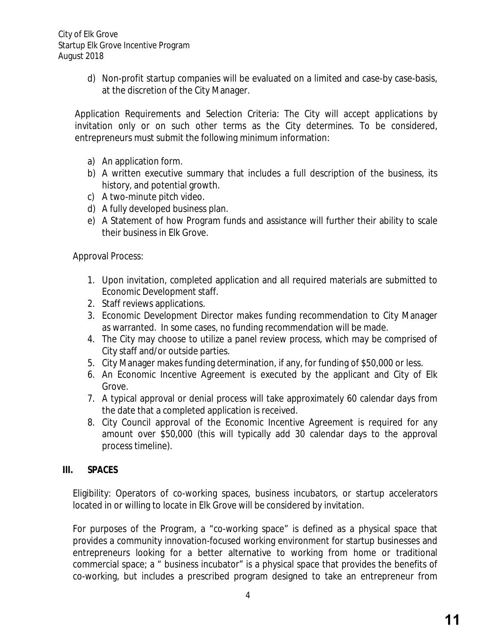d) Non-profit startup companies will be evaluated on a limited and case-by case-basis, at the discretion of the City Manager.

Application Requirements and Selection Criteria: The City will accept applications by invitation only or on such other terms as the City determines. To be considered, entrepreneurs must submit the following minimum information:

- a) An application form.
- b) A written executive summary that includes a full description of the business, its history, and potential growth.
- c) A two-minute pitch video.
- d) A fully developed business plan.
- e) A Statement of how Program funds and assistance will further their ability to scale their business in Elk Grove.

Approval Process:

- 1. Upon invitation, completed application and all required materials are submitted to Economic Development staff.
- 2. Staff reviews applications.
- 3. Economic Development Director makes funding recommendation to City Manager as warranted. In some cases, no funding recommendation will be made.
- 4. The City may choose to utilize a panel review process, which may be comprised of City staff and/or outside parties.
- 5. City Manager makes funding determination, if any, for funding of \$50,000 or less.
- 6. An Economic Incentive Agreement is executed by the applicant and City of Elk Grove.
- 7. A typical approval or denial process will take approximately 60 calendar days from the date that a completed application is received.
- 8. City Council approval of the Economic Incentive Agreement is required for any amount over \$50,000 (this will typically add 30 calendar days to the approval process timeline).

#### **III. SPACES**

Eligibility: Operators of co-working spaces, business incubators, or startup accelerators located in or willing to locate in Elk Grove will be considered by invitation.

For purposes of the Program, a "co-working space" is defined as a physical space that provides a community innovation-focused working environment for startup businesses and entrepreneurs looking for a better alternative to working from home or traditional commercial space; a " business incubator" is a physical space that provides the benefits of co-working, but includes a prescribed program designed to take an entrepreneur from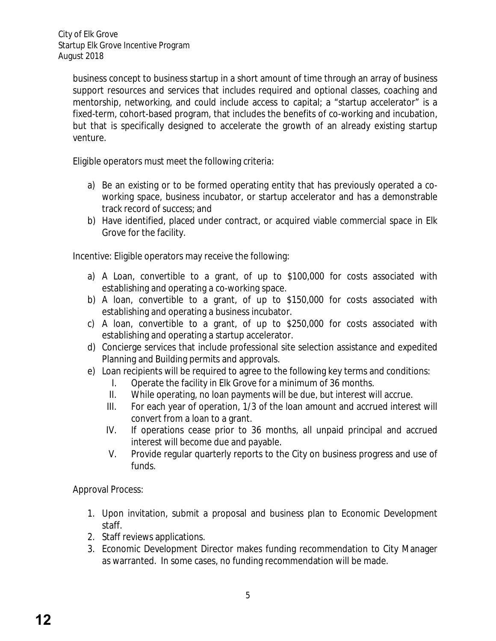business concept to business startup in a short amount of time through an array of business support resources and services that includes required and optional classes, coaching and mentorship, networking, and could include access to capital; a "startup accelerator" is a fixed-term, cohort-based program, that includes the benefits of co-working and incubation, but that is specifically designed to accelerate the growth of an already existing startup venture.

Eligible operators must meet the following criteria:

- a) Be an existing or to be formed operating entity that has previously operated a coworking space, business incubator, or startup accelerator and has a demonstrable track record of success; and
- b) Have identified, placed under contract, or acquired viable commercial space in Elk Grove for the facility.

Incentive: Eligible operators may receive the following:

- a) A Loan, convertible to a grant, of up to \$100,000 for costs associated with establishing and operating a co-working space.
- b) A loan, convertible to a grant, of up to \$150,000 for costs associated with establishing and operating a business incubator.
- c) A loan, convertible to a grant, of up to \$250,000 for costs associated with establishing and operating a startup accelerator.
- d) Concierge services that include professional site selection assistance and expedited Planning and Building permits and approvals.
- e) Loan recipients will be required to agree to the following key terms and conditions:
	- I. Operate the facility in Elk Grove for a minimum of 36 months.
	- II. While operating, no loan payments will be due, but interest will accrue.
	- III. For each year of operation, 1/3 of the loan amount and accrued interest will convert from a loan to a grant.
	- IV. If operations cease prior to 36 months, all unpaid principal and accrued interest will become due and payable.
	- V. Provide regular quarterly reports to the City on business progress and use of funds.

Approval Process:

- 1. Upon invitation, submit a proposal and business plan to Economic Development staff.
- 2. Staff reviews applications.
- 3. Economic Development Director makes funding recommendation to City Manager as warranted. In some cases, no funding recommendation will be made.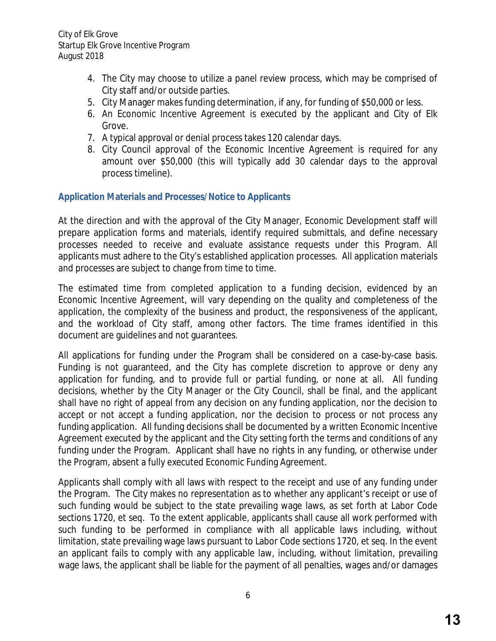- 4. The City may choose to utilize a panel review process, which may be comprised of City staff and/or outside parties.
- 5. City Manager makes funding determination, if any, for funding of \$50,000 or less.
- 6. An Economic Incentive Agreement is executed by the applicant and City of Elk Grove.
- 7. A typical approval or denial process takes 120 calendar days.
- 8. City Council approval of the Economic Incentive Agreement is required for any amount over \$50,000 (this will typically add 30 calendar days to the approval process timeline).

### **Application Materials and Processes/Notice to Applicants**

At the direction and with the approval of the City Manager, Economic Development staff will prepare application forms and materials, identify required submittals, and define necessary processes needed to receive and evaluate assistance requests under this Program. All applicants must adhere to the City's established application processes. All application materials and processes are subject to change from time to time.

The estimated time from completed application to a funding decision, evidenced by an Economic Incentive Agreement, will vary depending on the quality and completeness of the application, the complexity of the business and product, the responsiveness of the applicant, and the workload of City staff, among other factors. The time frames identified in this document are guidelines and not guarantees.

All applications for funding under the Program shall be considered on a case-by-case basis. Funding is not guaranteed, and the City has complete discretion to approve or deny any application for funding, and to provide full or partial funding, or none at all. All funding decisions, whether by the City Manager or the City Council, shall be final, and the applicant shall have no right of appeal from any decision on any funding application, nor the decision to accept or not accept a funding application, nor the decision to process or not process any funding application. All funding decisions shall be documented by a written Economic Incentive Agreement executed by the applicant and the City setting forth the terms and conditions of any funding under the Program. Applicant shall have no rights in any funding, or otherwise under the Program, absent a fully executed Economic Funding Agreement.

Applicants shall comply with all laws with respect to the receipt and use of any funding under the Program. The City makes no representation as to whether any applicant's receipt or use of such funding would be subject to the state prevailing wage laws, as set forth at Labor Code sections 1720, et seq. To the extent applicable, applicants shall cause all work performed with such funding to be performed in compliance with all applicable laws including, without limitation, state prevailing wage laws pursuant to Labor Code sections 1720, et seq. In the event an applicant fails to comply with any applicable law, including, without limitation, prevailing wage laws, the applicant shall be liable for the payment of all penalties, wages and/or damages